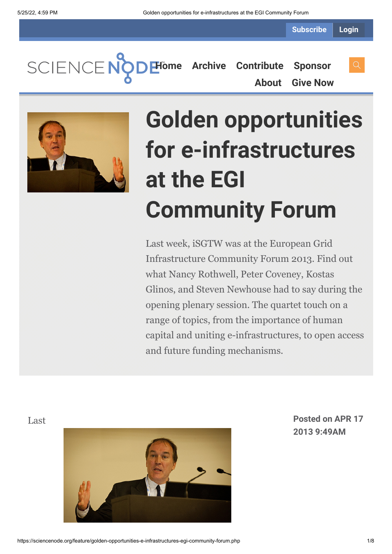**Subscribe Login**

SCIENCENO **[Home](https://sciencenode.org/) [Archive](https://sciencenode.org/archive/index.php) [Contribute](https://sciencenode.org/contribute/index.php) [Sponsor](https://sciencenode.org/sponsor/index.php) [About](https://sciencenode.org/about/index.php) [Give Now](https://sciencenode.org/donate/index.php)**



# **Golden opportunities for e-infrastructures at the EGI Community Forum**

Last week, iSGTW was at the European Grid Infrastructure Community Forum 2013. Find out what Nancy Rothwell, Peter Coveney, Kostas Glinos, and Steven Newhouse had to say during the opening plenary session. The quartet touch on a range of topics, from the importance of human capital and uniting e-infrastructures, to open access and future funding mechanisms.



Last **Posted on APR 17 2013 9:49AM**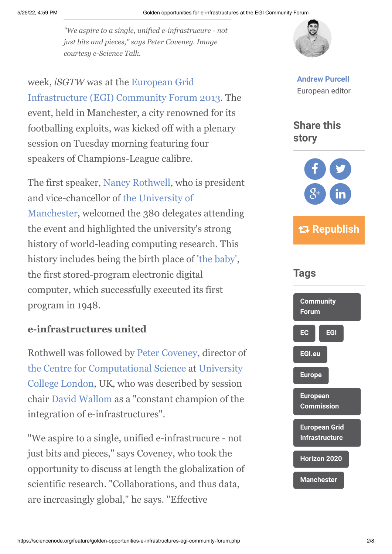*"We aspire to a single, unified e-infrastrucure - not just bits and pieces," says Peter Coveney. Image courtesy e-Science Talk.*

week, *iSGTW* was at the European Grid [Infrastructure \(EGI\) Community Forum 2013.](http://cf2013.egi.eu/) The event, held in Manchester, a city renowned for its footballing exploits, was kicked off with a plenary session on Tuesday morning featuring four speakers of Champions-League calibre.

The first speaker, [Nancy Rothwell,](http://en.wikipedia.org/wiki/Nancy_Rothwell) who is president [and vice-chancellor of the University of](http://www.manchester.ac.uk/) Manchester, welcomed the 380 delegates attending the event and highlighted the university's strong history of world-leading computing research. This history includes being the birth place of '[the baby'](http://www.computer50.org/mark1/new.baby.html), the first stored-program electronic digital computer, which successfully executed its first program in 1948.

## **e-infrastructures united**

Rothwell was followed by [Peter Coveney](http://www.ucl.ac.uk/chemistry/staff/academic_pages/peter_coveney), director of [the Centre for Computational Science](http://ccs.chem.ucl.ac.uk/) [at University](http://www.ucl.ac.uk/) College London, UK, who was described by session chair [David Wallom](http://www.oerc.ox.ac.uk/people/david-wallom) as a "constant champion of the integration of e-infrastructures".

"We aspire to a single, unified e-infrastrucure - not just bits and pieces," says Coveney, who took the opportunity to discuss at length the globalization of scientific research. "Collaborations, and thus data, are increasingly global," he says. "Effective



**[Andrew Purcell](https://sciencenode.org/author/andrew-purcell.php)** European editor





 **Republish**



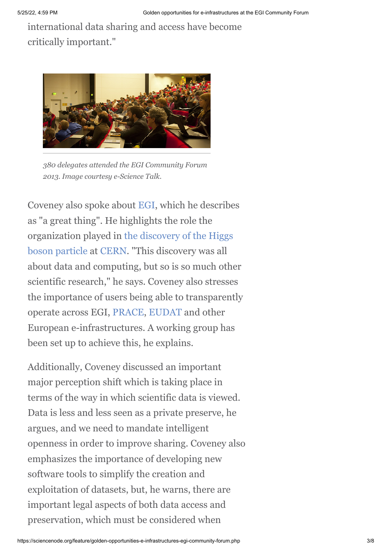international data sharing and access have become critically important."



*380 delegates attended the EGI Community Forum 2013. Image courtesy e-Science Talk.*

Coveney also spoke about [EGI](http://www.egi.eu/), which he describes as "a great thing". He highlights the role the [organization played in the discovery of the Higgs](http://press.web.cern.ch/press-releases/2013/03/new-results-indicate-particle-discovered-cern-higgs-boson) boson particle at [CERN.](http://www.cern.ch/) "This discovery was all about data and computing, but so is so much other scientific research," he says. Coveney also stresses the importance of users being able to transparently operate across EGI, [PRACE,](http://www.prace-ri.eu/) [EUDAT](http://www.eudat.eu/) and other European e-infrastructures. A working group has been set up to achieve this, he explains.

Additionally, Coveney discussed an important major perception shift which is taking place in terms of the way in which scientific data is viewed. Data is less and less seen as a private preserve, he argues, and we need to mandate intelligent openness in order to improve sharing. Coveney also emphasizes the importance of developing new software tools to simplify the creation and exploitation of datasets, but, he warns, there are important legal aspects of both data access and preservation, which must be considered when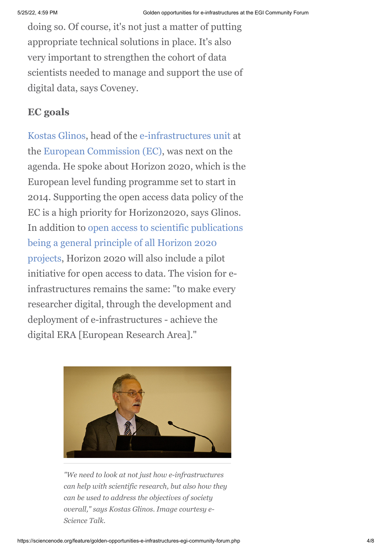doing so. Of course, it's not just a matter of putting appropriate technical solutions in place. It's also very important to strengthen the cohort of data scientists needed to manage and support the use of digital data, says Coveney.

### **EC goals**

[Kostas Glinos](http://cordis.europa.eu/fp7/ict/e-infrastructure/contacts_en.html), head of the [e-infrastructures unit](http://cordis.europa.eu/fp7/ict/e-infrastructure/) at the [European Commission \(EC\)](http://ec.europa.eu/index_en.htm), was next on the agenda. He spoke about Horizon 2020, which is the European level funding programme set to start in 2014. Supporting the open access data policy of the EC is a high priority for Horizon2020, says Glinos. [In addition to open access to scientific publications](http://europa.eu/rapid/press-release_IP-12-790_en.htm) being a general principle of all Horizon 2020 projects, Horizon 2020 will also include a pilot initiative for open access to data. The vision for einfrastructures remains the same: "to make every researcher digital, through the development and deployment of e-infrastructures - achieve the digital ERA [European Research Area]."



*"We need to look at not just how e-infrastructures can help with scientific research, but also how they can be used to address the objectives of society overall," says Kostas Glinos. Image courtesy e-Science Talk.*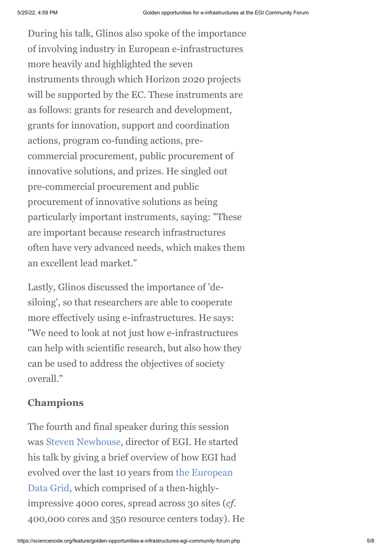During his talk, Glinos also spoke of the importance of involving industry in European e-infrastructures more heavily and highlighted the seven instruments through which Horizon 2020 projects will be supported by the EC. These instruments are as follows: grants for research and development, grants for innovation, support and coordination actions, program co-funding actions, precommercial procurement, public procurement of innovative solutions, and prizes. He singled out pre-commercial procurement and public procurement of innovative solutions as being particularly important instruments, saying: "These are important because research infrastructures often have very advanced needs, which makes them an excellent lead market."

Lastly, Glinos discussed the importance of 'desiloing', so that researchers are able to cooperate more effectively using e-infrastructures. He says: "We need to look at not just how e-infrastructures can help with scientific research, but also how they can be used to address the objectives of society overall."

# **Champions**

The fourth and final speaker during this session was [Steven Newhouse](http://www.egi.eu/about/people/Steven_Newhouse.html), director of EGI. He started his talk by giving a brief overview of how EGI had [evolved over the last 10 years from the European](http://eu-datagrid.web.cern.ch/eu-datagrid/) Data Grid, which comprised of a then-highlyimpressive 4000 cores, spread across 30 sites (*cf.* 400,000 cores and 350 resource centers today). He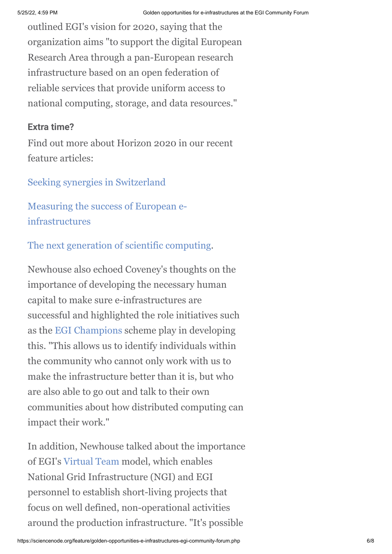outlined EGI's vision for 2020, saying that the organization aims "to support the digital European Research Area through a pan-European research infrastructure based on an open federation of reliable services that provide uniform access to national computing, storage, and data resources."

#### **Extra time?**

Find out more about Horizon 2020 in our recent feature articles:

### [Seeking synergies in Switzerland](http://www.isgtw.org/feature/seeking-synergies-switzerland)

[Measuring the success of European e](http://www.isgtw.org/feature/measuring-success-european-e-infrastructures)infrastructures

# [The next generation of scientific computing.](http://www.isgtw.org/feature/next-generation-scientific-computing)

Newhouse also echoed Coveney's thoughts on the importance of developing the necessary human capital to make sure e-infrastructures are successful and highlighted the role initiatives such as the [EGI Champions](http://www.egi.eu/community/egi_champions/) scheme play in developing this. "This allows us to identify individuals within the community who cannot only work with us to make the infrastructure better than it is, but who are also able to go out and talk to their own communities about how distributed computing can impact their work."

In addition, Newhouse talked about the importance of EGI's [Virtual Team](https://wiki.egi.eu/wiki/Virtual_teams) model, which enables National Grid Infrastructure (NGI) and EGI personnel to establish short-living projects that focus on well defined, non-operational activities around the production infrastructure. "It's possible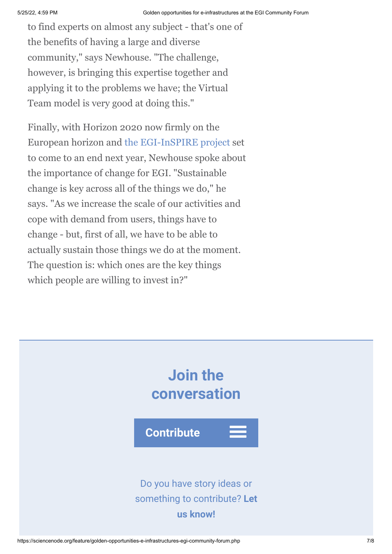to find experts on almost any subject - that's one of the benefits of having a large and diverse community," says Newhouse. "The challenge, however, is bringing this expertise together and applying it to the problems we have; the Virtual Team model is very good at doing this."

Finally, with Horizon 2020 now firmly on the European horizon and [the EGI-InSPIRE project](http://www.egi.eu/about/egi-inspire/) set to come to an end next year, Newhouse spoke about the importance of change for EGI. "Sustainable change is key across all of the things we do," he says. "As we increase the scale of our activities and cope with demand from users, things have to change - but, first of all, we have to be able to actually sustain those things we do at the moment. The question is: which ones are the key things which people are willing to invest in?"